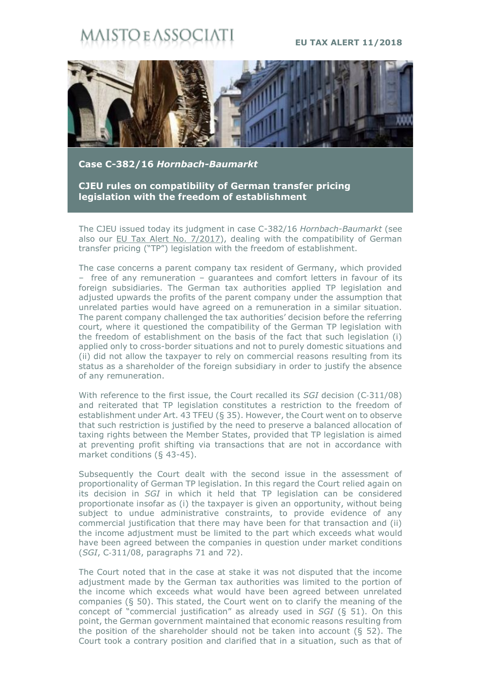## **STO E ASSOC**

## **EU TAX ALERT 11/2018**



**Case C-382/16** *Hornbach-Baumarkt*

**CJEU rules on compatibility of German transfer pricing legislation with the freedom of establishment**

The CJEU issued today its judgment in case C-382/16 *Hornbach-Baumarkt* (see also our [EU Tax Alert No. 7/2017](https://www.maisto.it/en/newsletter/eu-tax-alert--29.html)), dealing with the compatibility of German transfer pricing ("TP") legislation with the freedom of establishment.

The case concerns a parent company tax resident of Germany, which provided – free of any remuneration – guarantees and comfort letters in favour of its foreign subsidiaries. The German tax authorities applied TP legislation and adjusted upwards the profits of the parent company under the assumption that unrelated parties would have agreed on a remuneration in a similar situation. The parent company challenged the tax authorities' decision before the referring court, where it questioned the compatibility of the German TP legislation with the freedom of establishment on the basis of the fact that such legislation (i) applied only to cross-border situations and not to purely domestic situations and (ii) did not allow the taxpayer to rely on commercial reasons resulting from its status as a shareholder of the foreign subsidiary in order to justify the absence of any remuneration.

With reference to the first issue, the Court recalled its *SGI* decision (C-311/08) and reiterated that TP legislation constitutes a restriction to the freedom of establishment under Art. 43 TFEU (§ 35). However, the Court went on to observe that such restriction is justified by the need to preserve a balanced allocation of taxing rights between the Member States, provided that TP legislation is aimed at preventing profit shifting via transactions that are not in accordance with market conditions (§ 43-45).

Subsequently the Court dealt with the second issue in the assessment of proportionality of German TP legislation. In this regard the Court relied again on its decision in *SGI* in which it held that TP legislation can be considered proportionate insofar as (i) the taxpayer is given an opportunity, without being subject to undue administrative constraints, to provide evidence of any commercial justification that there may have been for that transaction and (ii) the income adjustment must be limited to the part which exceeds what would have been agreed between the companies in question under market conditions (*SGI*, C‑311/08, paragraphs 71 and 72).

The Court noted that in the case at stake it was not disputed that the income adjustment made by the German tax authorities was limited to the portion of the income which exceeds what would have been agreed between unrelated companies (§ 50). This stated, the Court went on to clarify the meaning of the concept of "commercial justification" as already used in *SGI* (§ 51). On this point, the German government maintained that economic reasons resulting from the position of the shareholder should not be taken into account (§ 52). The Court took a contrary position and clarified that in a situation, such as that of